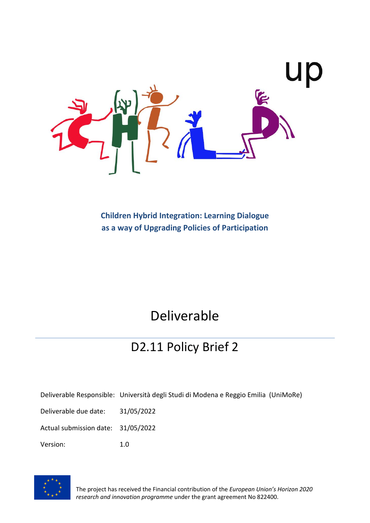

**Children Hybrid Integration: Learning Dialogue as a way of Upgrading Policies of Participation**

# Deliverable

# D2.11 Policy Brief 2

Deliverable Responsible: Università degli Studi di Modena e Reggio Emilia (UniMoRe)

Deliverable due date: 31/05/2022

Actual submission date: 31/05/2022

Version: 1.0



The project has received the Financial contribution of the *European Union's Horizon 2020 research and innovation programme* under the grant agreement No 822400.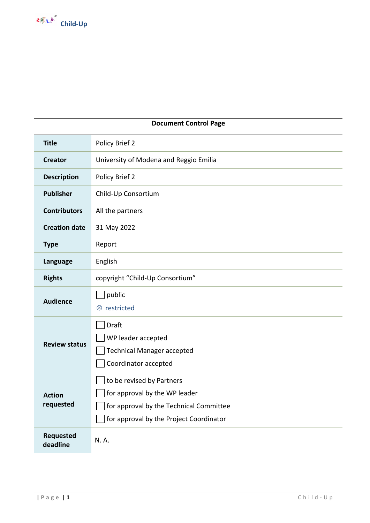

| <b>Document Control Page</b> |                                                                                                                                                  |  |
|------------------------------|--------------------------------------------------------------------------------------------------------------------------------------------------|--|
| <b>Title</b>                 | Policy Brief 2                                                                                                                                   |  |
| <b>Creator</b>               | University of Modena and Reggio Emilia                                                                                                           |  |
| <b>Description</b>           | Policy Brief 2                                                                                                                                   |  |
| <b>Publisher</b>             | Child-Up Consortium                                                                                                                              |  |
| <b>Contributors</b>          | All the partners                                                                                                                                 |  |
| <b>Creation date</b>         | 31 May 2022                                                                                                                                      |  |
| <b>Type</b>                  | Report                                                                                                                                           |  |
| Language                     | English                                                                                                                                          |  |
| <b>Rights</b>                | copyright "Child-Up Consortium"                                                                                                                  |  |
| <b>Audience</b>              | public<br>⊗ restricted                                                                                                                           |  |
| <b>Review status</b>         | Draft<br>WP leader accepted<br><b>Technical Manager accepted</b><br>Coordinator accepted                                                         |  |
| <b>Action</b><br>requested   | to be revised by Partners<br>for approval by the WP leader<br>for approval by the Technical Committee<br>for approval by the Project Coordinator |  |
| Requested<br>deadline        | N.A.                                                                                                                                             |  |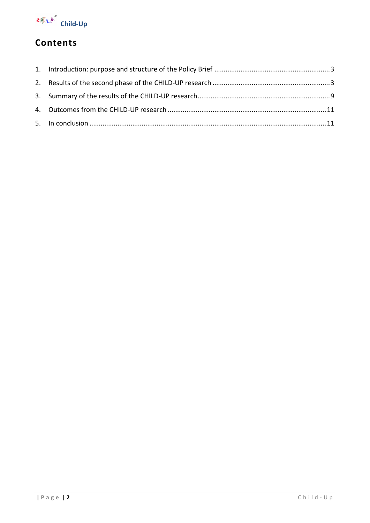

# **Contents**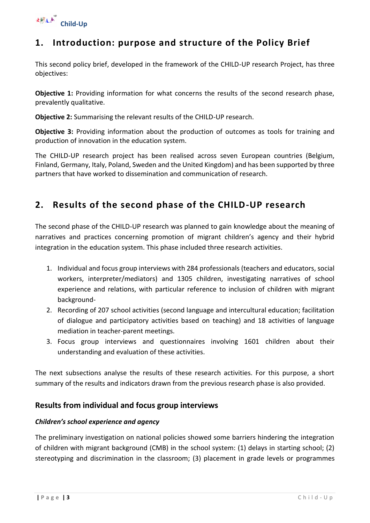

## <span id="page-3-0"></span>**1. Introduction: purpose and structure of the Policy Brief**

This second policy brief, developed in the framework of the CHILD-UP research Project, has three objectives:

**Objective 1:** Providing information for what concerns the results of the second research phase, prevalently qualitative.

**Objective 2:** Summarising the relevant results of the CHILD-UP research.

**Objective 3:** Providing information about the production of outcomes as tools for training and production of innovation in the education system.

The CHILD-UP research project has been realised across seven European countries (Belgium, Finland, Germany, Italy, Poland, Sweden and the United Kingdom) and has been supported by three partners that have worked to dissemination and communication of research.

## <span id="page-3-1"></span>**2. Results of the second phase of the CHILD-UP research**

The second phase of the CHILD-UP research was planned to gain knowledge about the meaning of narratives and practices concerning promotion of migrant children's agency and their hybrid integration in the education system. This phase included three research activities.

- 1. Individual and focus group interviews with 284 professionals (teachers and educators, social workers, interpreter/mediators) and 1305 children, investigating narratives of school experience and relations, with particular reference to inclusion of children with migrant background-
- 2. Recording of 207 school activities (second language and intercultural education; facilitation of dialogue and participatory activities based on teaching) and 18 activities of language mediation in teacher-parent meetings.
- 3. Focus group interviews and questionnaires involving 1601 children about their understanding and evaluation of these activities.

The next subsections analyse the results of these research activities. For this purpose, a short summary of the results and indicators drawn from the previous research phase is also provided.

#### **Results from individual and focus group interviews**

#### *Children's school experience and agency*

The preliminary investigation on national policies showed some barriers hindering the integration of children with migrant background (CMB) in the school system: (1) delays in starting school; (2) stereotyping and discrimination in the classroom; (3) placement in grade levels or programmes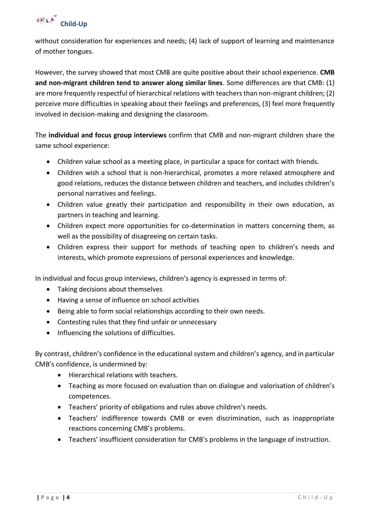

without consideration for experiences and needs; (4) lack of support of learning and maintenance of mother tongues.

However, the survey showed that most CMB are quite positive about their school experience. **CMB and non-migrant children tend to answer along similar lines**. Some differences are that CMB: (1) are more frequently respectful of hierarchical relations with teachers than non-migrant children; (2) perceive more difficulties in speaking about their feelings and preferences, (3) feel more frequently involved in decision-making and designing the classroom.

The **individual and focus group interviews** confirm that CMB and non-migrant children share the same school experience:

- Children value school as a meeting place, in particular a space for contact with friends.
- Children wish a school that is non-hierarchical, promotes a more relaxed atmosphere and good relations, reduces the distance between children and teachers, and includes children's personal narratives and feelings.
- Children value greatly their participation and responsibility in their own education, as partners in teaching and learning.
- Children expect more opportunities for co-determination in matters concerning them, as well as the possibility of disagreeing on certain tasks.
- Children express their support for methods of teaching open to children's needs and interests, which promote expressions of personal experiences and knowledge.

In individual and focus group interviews, children's agency is expressed in terms of:

- Taking decisions about themselves
- Having a sense of influence on school activities
- Being able to form social relationships according to their own needs.
- Contesting rules that they find unfair or unnecessary
- Influencing the solutions of difficulties.

By contrast, children's confidence in the educational system and children's agency, and in particular CMB's confidence, is undermined by:

- Hierarchical relations with teachers.
- Teaching as more focused on evaluation than on dialogue and valorisation of children's competences.
- Teachers' priority of obligations and rules above children's needs.
- Teachers' indifference towards CMB or even discrimination, such as inappropriate reactions concerning CMB's problems.
- Teachers' insufficient consideration for CMB's problems in the language of instruction.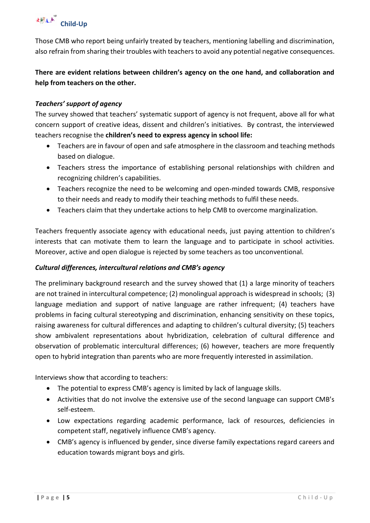

Those CMB who report being unfairly treated by teachers, mentioning labelling and discrimination, also refrain from sharing their troubles with teachers to avoid any potential negative consequences.

**There are evident relations between children's agency on the one hand, and collaboration and help from teachers on the other.** 

#### *Teachers' support of agency*

The survey showed that teachers' systematic support of agency is not frequent, above all for what concern support of creative ideas, dissent and children's initiatives. By contrast, the interviewed teachers recognise the **children's need to express agency in school life:**

- Teachers are in favour of open and safe atmosphere in the classroom and teaching methods based on dialogue.
- Teachers stress the importance of establishing personal relationships with children and recognizing children's capabilities.
- Teachers recognize the need to be welcoming and open-minded towards CMB, responsive to their needs and ready to modify their teaching methods to fulfil these needs.
- Teachers claim that they undertake actions to help CMB to overcome marginalization.

Teachers frequently associate agency with educational needs, just paying attention to children's interests that can motivate them to learn the language and to participate in school activities. Moreover, active and open dialogue is rejected by some teachers as too unconventional.

#### *Cultural differences, intercultural relations and CMB's agency*

The preliminary background research and the survey showed that (1) a large minority of teachers are not trained in intercultural competence; (2) monolingual approach is widespread in schools; (3) language mediation and support of native language are rather infrequent; (4) teachers have problems in facing cultural stereotyping and discrimination, enhancing sensitivity on these topics, raising awareness for cultural differences and adapting to children's cultural diversity; (5) teachers show ambivalent representations about hybridization, celebration of cultural difference and observation of problematic intercultural differences; (6) however, teachers are more frequently open to hybrid integration than parents who are more frequently interested in assimilation.

Interviews show that according to teachers:

- The potential to express CMB's agency is limited by lack of language skills.
- Activities that do not involve the extensive use of the second language can support CMB's self-esteem.
- Low expectations regarding academic performance, lack of resources, deficiencies in competent staff, negatively influence CMB's agency.
- CMB's agency is influenced by gender, since diverse family expectations regard careers and education towards migrant boys and girls.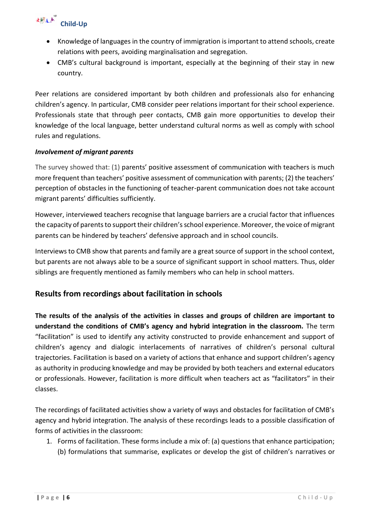# <sup>《桃江声》</sup> Child-Up

- Knowledge of languages in the country of immigration is important to attend schools, create relations with peers, avoiding marginalisation and segregation.
- CMB's cultural background is important, especially at the beginning of their stay in new country.

Peer relations are considered important by both children and professionals also for enhancing children's agency. In particular, CMB consider peer relations important for their school experience. Professionals state that through peer contacts, CMB gain more opportunities to develop their knowledge of the local language, better understand cultural norms as well as comply with school rules and regulations.

#### *Involvement of migrant parents*

The survey showed that: (1) parents' positive assessment of communication with teachers is much more frequent than teachers' positive assessment of communication with parents; (2) the teachers' perception of obstacles in the functioning of teacher-parent communication does not take account migrant parents' difficulties sufficiently.

However, interviewed teachers recognise that language barriers are a crucial factor that influences the capacity of parents to support their children's school experience. Moreover, the voice of migrant parents can be hindered by teachers' defensive approach and in school councils.

Interviews to CMB show that parents and family are a great source of support in the school context, but parents are not always able to be a source of significant support in school matters. Thus, older siblings are frequently mentioned as family members who can help in school matters.

### **Results from recordings about facilitation in schools**

**The results of the analysis of the activities in classes and groups of children are important to understand the conditions of CMB's agency and hybrid integration in the classroom.** The term "facilitation" is used to identify any activity constructed to provide enhancement and support of children's agency and dialogic interlacements of narratives of children's personal cultural trajectories. Facilitation is based on a variety of actions that enhance and support children's agency as authority in producing knowledge and may be provided by both teachers and external educators or professionals. However, facilitation is more difficult when teachers act as "facilitators" in their classes.

The recordings of facilitated activities show a variety of ways and obstacles for facilitation of CMB's agency and hybrid integration. The analysis of these recordings leads to a possible classification of forms of activities in the classroom:

1. Forms of facilitation. These forms include a mix of: (a) questions that enhance participation; (b) formulations that summarise, explicates or develop the gist of children's narratives or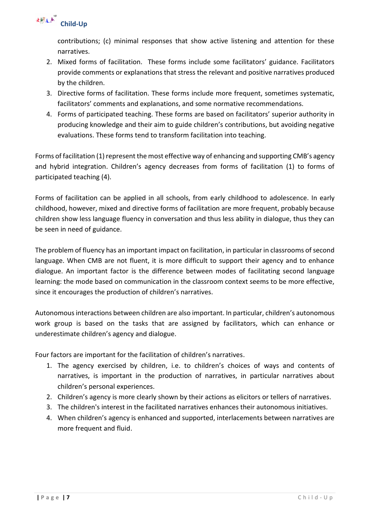

contributions; (c) minimal responses that show active listening and attention for these narratives.

- 2. Mixed forms of facilitation. These forms include some facilitators' guidance. Facilitators provide comments or explanations that stress the relevant and positive narratives produced by the children.
- 3. Directive forms of facilitation. These forms include more frequent, sometimes systematic, facilitators' comments and explanations, and some normative recommendations.
- 4. Forms of participated teaching. These forms are based on facilitators' superior authority in producing knowledge and their aim to guide children's contributions, but avoiding negative evaluations. These forms tend to transform facilitation into teaching.

Forms of facilitation (1) represent the most effective way of enhancing and supporting CMB's agency and hybrid integration. Children's agency decreases from forms of facilitation (1) to forms of participated teaching (4).

Forms of facilitation can be applied in all schools, from early childhood to adolescence. In early childhood, however, mixed and directive forms of facilitation are more frequent, probably because children show less language fluency in conversation and thus less ability in dialogue, thus they can be seen in need of guidance.

The problem of fluency has an important impact on facilitation, in particular in classrooms of second language. When CMB are not fluent, it is more difficult to support their agency and to enhance dialogue. An important factor is the difference between modes of facilitating second language learning: the mode based on communication in the classroom context seems to be more effective, since it encourages the production of children's narratives.

Autonomous interactions between children are also important. In particular, children's autonomous work group is based on the tasks that are assigned by facilitators, which can enhance or underestimate children's agency and dialogue.

Four factors are important for the facilitation of children's narratives.

- 1. The agency exercised by children, i.e. to children's choices of ways and contents of narratives, is important in the production of narratives, in particular narratives about children's personal experiences.
- 2. Children's agency is more clearly shown by their actions as elicitors or tellers of narratives.
- 3. The children's interest in the facilitated narratives enhances their autonomous initiatives.
- 4. When children's agency is enhanced and supported, interlacements between narratives are more frequent and fluid.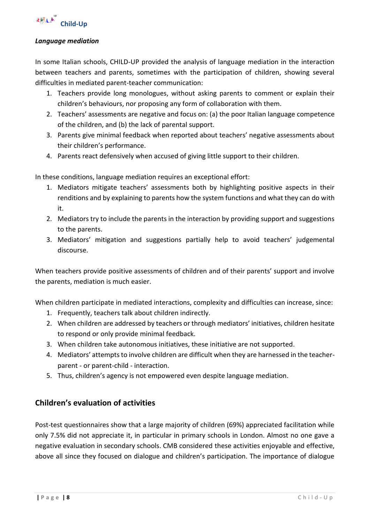

#### *Language mediation*

In some Italian schools, CHILD-UP provided the analysis of language mediation in the interaction between teachers and parents, sometimes with the participation of children, showing several difficulties in mediated parent-teacher communication:

- 1. Teachers provide long monologues, without asking parents to comment or explain their children's behaviours, nor proposing any form of collaboration with them.
- 2. Teachers' assessments are negative and focus on: (a) the poor Italian language competence of the children, and (b) the lack of parental support.
- 3. Parents give minimal feedback when reported about teachers' negative assessments about their children's performance.
- 4. Parents react defensively when accused of giving little support to their children.

In these conditions, language mediation requires an exceptional effort:

- 1. Mediators mitigate teachers' assessments both by highlighting positive aspects in their renditions and by explaining to parents how the system functions and what they can do with it.
- 2. Mediators try to include the parents in the interaction by providing support and suggestions to the parents.
- 3. Mediators' mitigation and suggestions partially help to avoid teachers' judgemental discourse.

When teachers provide positive assessments of children and of their parents' support and involve the parents, mediation is much easier.

When children participate in mediated interactions, complexity and difficulties can increase, since:

- 1. Frequently, teachers talk about children indirectly.
- 2. When children are addressed by teachers or through mediators' initiatives, children hesitate to respond or only provide minimal feedback.
- 3. When children take autonomous initiatives, these initiative are not supported.
- 4. Mediators' attempts to involve children are difficult when they are harnessed in the teacherparent - or parent-child - interaction.
- 5. Thus, children's agency is not empowered even despite language mediation.

#### **Children's evaluation of activities**

Post-test questionnaires show that a large majority of children (69%) appreciated facilitation while only 7.5% did not appreciate it, in particular in primary schools in London. Almost no one gave a negative evaluation in secondary schools. CMB considered these activities enjoyable and effective, above all since they focused on dialogue and children's participation. The importance of dialogue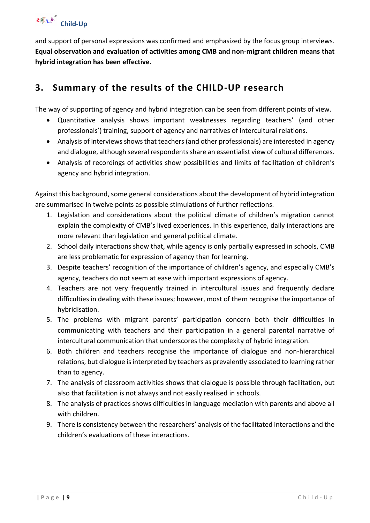and support of personal expressions was confirmed and emphasized by the focus group interviews. **Equal observation and evaluation of activities among CMB and non-migrant children means that hybrid integration has been effective.** 

# <span id="page-9-0"></span>**3. Summary of the results of the CHILD-UP research**

The way of supporting of agency and hybrid integration can be seen from different points of view.

- Quantitative analysis shows important weaknesses regarding teachers' (and other professionals') training, support of agency and narratives of intercultural relations.
- Analysis of interviews shows that teachers (and other professionals) are interested in agency and dialogue, although several respondents share an essentialist view of cultural differences.
- Analysis of recordings of activities show possibilities and limits of facilitation of children's agency and hybrid integration.

Against this background, some general considerations about the development of hybrid integration are summarised in twelve points as possible stimulations of further reflections.

- 1. Legislation and considerations about the political climate of children's migration cannot explain the complexity of CMB's lived experiences. In this experience, daily interactions are more relevant than legislation and general political climate.
- 2. School daily interactions show that, while agency is only partially expressed in schools, CMB are less problematic for expression of agency than for learning.
- 3. Despite teachers' recognition of the importance of children's agency, and especially CMB's agency, teachers do not seem at ease with important expressions of agency.
- 4. Teachers are not very frequently trained in intercultural issues and frequently declare difficulties in dealing with these issues; however, most of them recognise the importance of hybridisation.
- 5. The problems with migrant parents' participation concern both their difficulties in communicating with teachers and their participation in a general parental narrative of intercultural communication that underscores the complexity of hybrid integration.
- 6. Both children and teachers recognise the importance of dialogue and non-hierarchical relations, but dialogue is interpreted by teachers as prevalently associated to learning rather than to agency.
- 7. The analysis of classroom activities shows that dialogue is possible through facilitation, but also that facilitation is not always and not easily realised in schools.
- 8. The analysis of practices shows difficulties in language mediation with parents and above all with children.
- 9. There is consistency between the researchers' analysis of the facilitated interactions and the children's evaluations of these interactions.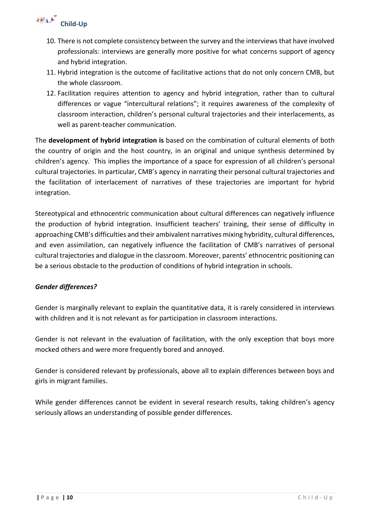# <sup>《桃江声》</sup> Child-Up

- 10. There is not complete consistency between the survey and the interviews that have involved professionals: interviews are generally more positive for what concerns support of agency and hybrid integration.
- 11. Hybrid integration is the outcome of facilitative actions that do not only concern CMB, but the whole classroom.
- 12. Facilitation requires attention to agency and hybrid integration, rather than to cultural differences or vague "intercultural relations"; it requires awareness of the complexity of classroom interaction, children's personal cultural trajectories and their interlacements, as well as parent-teacher communication.

The **development of hybrid integration is** based on the combination of cultural elements of both the country of origin and the host country, in an original and unique synthesis determined by children's agency. This implies the importance of a space for expression of all children's personal cultural trajectories. In particular, CMB's agency in narrating their personal cultural trajectories and the facilitation of interlacement of narratives of these trajectories are important for hybrid integration.

Stereotypical and ethnocentric communication about cultural differences can negatively influence the production of hybrid integration. Insufficient teachers' training, their sense of difficulty in approaching CMB's difficulties and their ambivalent narratives mixing hybridity, cultural differences, and even assimilation, can negatively influence the facilitation of CMB's narratives of personal cultural trajectories and dialogue in the classroom. Moreover, parents' ethnocentric positioning can be a serious obstacle to the production of conditions of hybrid integration in schools.

#### *Gender differences?*

Gender is marginally relevant to explain the quantitative data, it is rarely considered in interviews with children and it is not relevant as for participation in classroom interactions.

Gender is not relevant in the evaluation of facilitation, with the only exception that boys more mocked others and were more frequently bored and annoyed.

Gender is considered relevant by professionals, above all to explain differences between boys and girls in migrant families.

While gender differences cannot be evident in several research results, taking children's agency seriously allows an understanding of possible gender differences.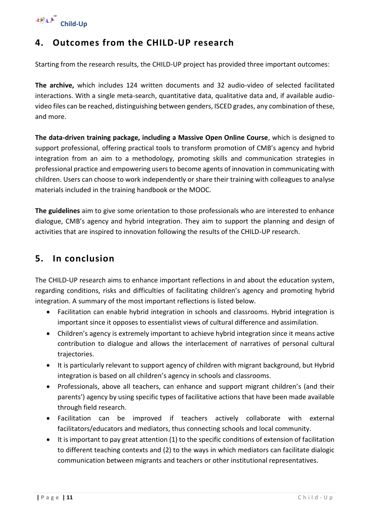

## <span id="page-11-0"></span>**4. Outcomes from the CHILD-UP research**

Starting from the research results, the CHILD-UP project has provided three important outcomes:

**The archive,** which includes 124 written documents and 32 audio-video of selected facilitated interactions. With a single meta-search, quantitative data, qualitative data and, if available audiovideo files can be reached, distinguishing between genders, ISCED grades, any combination of these, and more.

**The data-driven training package, including a Massive Open Online Course**, which is designed to support professional, offering practical tools to transform promotion of CMB's agency and hybrid integration from an aim to a methodology, promoting skills and communication strategies in professional practice and empowering users to become agents of innovation in communicating with children. Users can choose to work independently or share their training with colleagues to analyse materials included in the training handbook or the MOOC.

**The guidelines** aim to give some orientation to those professionals who are interested to enhance dialogue, CMB's agency and hybrid integration. They aim to support the planning and design of activities that are inspired to innovation following the results of the CHILD-UP research.

### <span id="page-11-1"></span>**5. In conclusion**

The CHILD-UP research aims to enhance important reflections in and about the education system, regarding conditions, risks and difficulties of facilitating children's agency and promoting hybrid integration. A summary of the most important reflections is listed below.

- Facilitation can enable hybrid integration in schools and classrooms. Hybrid integration is important since it opposes to essentialist views of cultural difference and assimilation.
- Children's agency is extremely important to achieve hybrid integration since it means active contribution to dialogue and allows the interlacement of narratives of personal cultural trajectories.
- It is particularly relevant to support agency of children with migrant background, but Hybrid integration is based on all children's agency in schools and classrooms.
- Professionals, above all teachers, can enhance and support migrant children's (and their parents') agency by using specific types of facilitative actions that have been made available through field research.
- Facilitation can be improved if teachers actively collaborate with external facilitators/educators and mediators, thus connecting schools and local community.
- It is important to pay great attention (1) to the specific conditions of extension of facilitation to different teaching contexts and (2) to the ways in which mediators can facilitate dialogic communication between migrants and teachers or other institutional representatives.